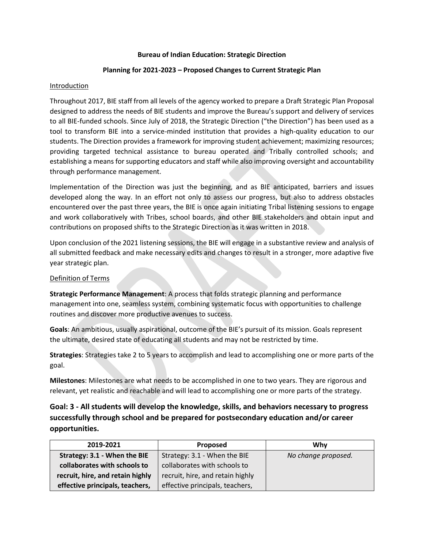## **Bureau of Indian Education: Strategic Direction**

## **Planning for 2021-2023 – Proposed Changes to Current Strategic Plan**

## **Introduction**

Throughout 2017, BIE staff from all levels of the agency worked to prepare a Draft Strategic Plan Proposal designed to address the needs of BIE students and improve the Bureau's support and delivery of services to all BIE-funded schools. Since July of 2018, the Strategic Direction ("the Direction") has been used as a tool to transform BIE into a service-minded institution that provides a high-quality education to our students. The Direction provides a framework for improving student achievement; maximizing resources; providing targeted technical assistance to bureau operated and Tribally controlled schools; and establishing a means for supporting educators and staff while also improving oversight and accountability through performance management.

Implementation of the Direction was just the beginning, and as BIE anticipated, barriers and issues developed along the way. In an effort not only to assess our progress, but also to address obstacles encountered over the past three years, the BIE is once again initiating Tribal listening sessions to engage and work collaboratively with Tribes, school boards, and other BIE stakeholders and obtain input and contributions on proposed shifts to the Strategic Direction as it was written in 2018.

Upon conclusion of the 2021 listening sessions, the BIE will engage in a substantive review and analysis of all submitted feedback and make necessary edits and changes to result in a stronger, more adaptive five year strategic plan.

## Definition of Terms

**Strategic Performance Management**: A process that folds strategic planning and performance management into one, seamless system, combining systematic focus with opportunities to challenge routines and discover more productive avenues to success.

**Goals**: An ambitious, usually aspirational, outcome of the BIE's pursuit of its mission. Goals represent the ultimate, desired state of educating all students and may not be restricted by time.

**Strategies**: Strategies take 2 to 5 years to accomplish and lead to accomplishing one or more parts of the goal.

**Milestones**: Milestones are what needs to be accomplished in one to two years. They are rigorous and relevant, yet realistic and reachable and will lead to accomplishing one or more parts of the strategy.

**Goal: 3 - All students will develop the knowledge, skills, and behaviors necessary to progress successfully through school and be prepared for postsecondary education and/or career opportunities.**

| 2019-2021                        | Proposed                         | Why                 |
|----------------------------------|----------------------------------|---------------------|
| Strategy: 3.1 - When the BIE     | Strategy: 3.1 - When the BIE     | No change proposed. |
| collaborates with schools to     | collaborates with schools to     |                     |
| recruit, hire, and retain highly | recruit, hire, and retain highly |                     |
| effective principals, teachers,  | effective principals, teachers,  |                     |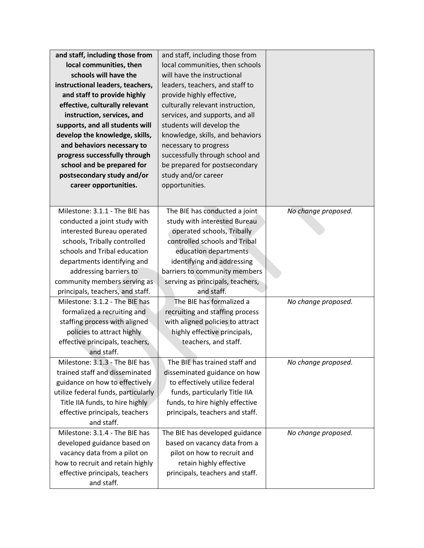| and staff, including those from     | and staff, including those from  |                     |
|-------------------------------------|----------------------------------|---------------------|
| local communities, then             | local communities, then schools  |                     |
| schools will have the               | will have the instructional      |                     |
| instructional leaders, teachers,    | leaders, teachers, and staff to  |                     |
| and staff to provide highly         | provide highly effective,        |                     |
| effective, culturally relevant      | culturally relevant instruction, |                     |
| instruction, services, and          | services, and supports, and all  |                     |
| supports, and all students will     | students will develop the        |                     |
| develop the knowledge, skills,      | knowledge, skills, and behaviors |                     |
| and behaviors necessary to          | necessary to progress            |                     |
| progress successfully through       | successfully through school and  |                     |
| school and be prepared for          | be prepared for postsecondary    |                     |
| postsecondary study and/or          | study and/or career              |                     |
| career opportunities.               | opportunities.                   |                     |
|                                     |                                  |                     |
| Milestone: 3.1.1 - The BIE has      | The BIE has conducted a joint    | No change proposed. |
| conducted a joint study with        | study with interested Bureau     |                     |
| interested Bureau operated          | operated schools, Tribally       |                     |
| schools, Tribally controlled        | controlled schools and Tribal    |                     |
| schools and Tribal education        | education departments            |                     |
| departments identifying and         | identifying and addressing       |                     |
| addressing barriers to              | barriers to community members    |                     |
| community members serving as        | serving as principals, teachers, |                     |
| principals, teachers, and staff.    | and staff.                       |                     |
| Milestone: 3.1.2 - The BIE has      | The BIE has formalized a         | No change proposed. |
| formalized a recruiting and         | recruiting and staffing process  |                     |
| staffing process with aligned       | with aligned policies to attract |                     |
| policies to attract highly          | highly effective principals,     |                     |
| effective principals, teachers,     | teachers, and staff.             |                     |
| and staff.                          |                                  |                     |
| Milestone: 3.1.3 - The BIE has      | The BIE has trained staff and    | No change proposed. |
| trained staff and disseminated      | disseminated guidance on how     |                     |
| guidance on how to effectively      | to effectively utilize federal   |                     |
| utilize federal funds, particularly | funds, particularly Title IIA    |                     |
| Title IIA funds, to hire highly     | funds, to hire highly effective  |                     |
| effective principals, teachers      | principals, teachers and staff.  |                     |
| and staff.                          |                                  |                     |
| Milestone: 3.1.4 - The BIE has      | The BIE has developed guidance   | No change proposed. |
| developed guidance based on         | based on vacancy data from a     |                     |
| vacancy data from a pilot on        | pilot on how to recruit and      |                     |
| how to recruit and retain highly    | retain highly effective          |                     |
| effective principals, teachers      | principals, teachers and staff.  |                     |
| and staff.                          |                                  |                     |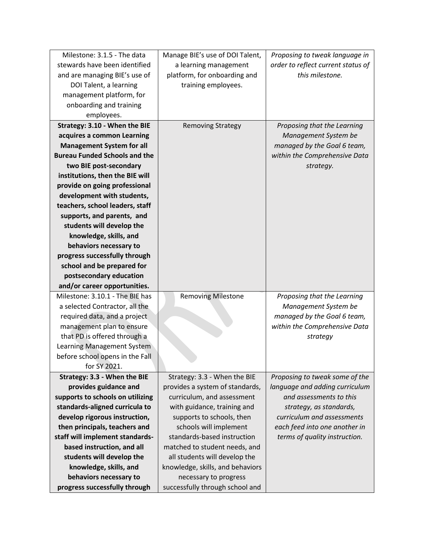| Milestone: 3.1.5 - The data          | Manage BIE's use of DOI Talent,  | Proposing to tweak language in     |
|--------------------------------------|----------------------------------|------------------------------------|
| stewards have been identified        | a learning management            | order to reflect current status of |
| and are managing BIE's use of        | platform, for onboarding and     | this milestone.                    |
| DOI Talent, a learning               | training employees.              |                                    |
| management platform, for             |                                  |                                    |
| onboarding and training              |                                  |                                    |
| employees.                           |                                  |                                    |
| Strategy: 3.10 - When the BIE        | <b>Removing Strategy</b>         | Proposing that the Learning        |
| acquires a common Learning           |                                  | Management System be               |
| <b>Management System for all</b>     |                                  | managed by the Goal 6 team,        |
| <b>Bureau Funded Schools and the</b> |                                  | within the Comprehensive Data      |
| two BIE post-secondary               |                                  | strategy.                          |
| institutions, then the BIE will      |                                  |                                    |
| provide on going professional        |                                  |                                    |
| development with students,           |                                  |                                    |
| teachers, school leaders, staff      |                                  |                                    |
| supports, and parents, and           |                                  |                                    |
| students will develop the            |                                  |                                    |
| knowledge, skills, and               |                                  |                                    |
| behaviors necessary to               |                                  |                                    |
| progress successfully through        |                                  |                                    |
| school and be prepared for           |                                  |                                    |
| postsecondary education              |                                  |                                    |
| and/or career opportunities.         |                                  |                                    |
| Milestone: 3.10.1 - The BIE has      | <b>Removing Milestone</b>        | Proposing that the Learning        |
| a selected Contractor, all the       |                                  | Management System be               |
| required data, and a project         |                                  | managed by the Goal 6 team,        |
| management plan to ensure            |                                  | within the Comprehensive Data      |
| that PD is offered through a         |                                  | strategy                           |
| Learning Management System           |                                  |                                    |
| before school opens in the Fall      |                                  |                                    |
| for SY 2021.                         |                                  |                                    |
| Strategy: 3.3 - When the BIE         | Strategy: 3.3 - When the BIE     | Proposing to tweak some of the     |
| provides guidance and                | provides a system of standards,  | language and adding curriculum     |
| supports to schools on utilizing     | curriculum, and assessment       | and assessments to this            |
| standards-aligned curricula to       | with guidance, training and      | strategy, as standards,            |
| develop rigorous instruction,        | supports to schools, then        | curriculum and assessments         |
| then principals, teachers and        | schools will implement           | each feed into one another in      |
| staff will implement standards-      | standards-based instruction      | terms of quality instruction.      |
| based instruction, and all           | matched to student needs, and    |                                    |
| students will develop the            | all students will develop the    |                                    |
| knowledge, skills, and               | knowledge, skills, and behaviors |                                    |
| behaviors necessary to               | necessary to progress            |                                    |
| progress successfully through        | successfully through school and  |                                    |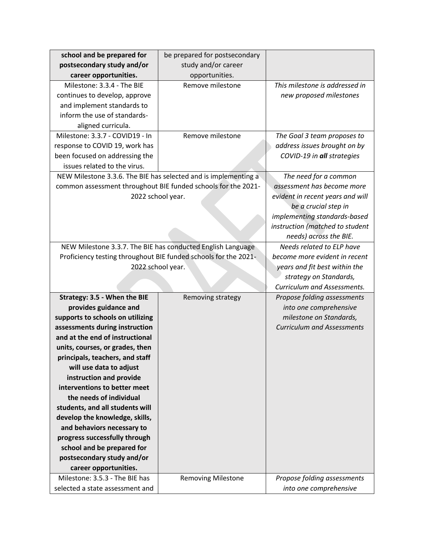| school and be prepared for                                  | be prepared for postsecondary                                   |                                   |
|-------------------------------------------------------------|-----------------------------------------------------------------|-----------------------------------|
| postsecondary study and/or                                  | study and/or career                                             |                                   |
| career opportunities.                                       | opportunities.                                                  |                                   |
| Milestone: 3.3.4 - The BIE                                  | Remove milestone                                                | This milestone is addressed in    |
| continues to develop, approve                               |                                                                 | new proposed milestones           |
| and implement standards to                                  |                                                                 |                                   |
| inform the use of standards-                                |                                                                 |                                   |
| aligned curricula.                                          |                                                                 |                                   |
| Milestone: 3.3.7 - COVID19 - In                             | Remove milestone                                                | The Goal 3 team proposes to       |
| response to COVID 19, work has                              |                                                                 | address issues brought on by      |
| been focused on addressing the                              |                                                                 | COVID-19 in all strategies        |
| issues related to the virus.                                |                                                                 |                                   |
|                                                             | NEW Milestone 3.3.6. The BIE has selected and is implementing a | The need for a common             |
|                                                             | common assessment throughout BIE funded schools for the 2021-   | assessment has become more        |
|                                                             | 2022 school year.                                               | evident in recent years and will  |
|                                                             |                                                                 | be a crucial step in              |
|                                                             |                                                                 | implementing standards-based      |
|                                                             |                                                                 | instruction (matched to student   |
|                                                             |                                                                 | needs) across the BIE.            |
| NEW Milestone 3.3.7. The BIE has conducted English Language |                                                                 | Needs related to ELP have         |
|                                                             | Proficiency testing throughout BIE funded schools for the 2021- | become more evident in recent     |
|                                                             | 2022 school year.                                               | years and fit best within the     |
|                                                             |                                                                 |                                   |
|                                                             |                                                                 | Curriculum and Assessments.       |
| Strategy: 3.5 - When the BIE                                | Removing strategy                                               | Propose folding assessments       |
| provides guidance and                                       |                                                                 | into one comprehensive            |
| supports to schools on utilizing                            |                                                                 | milestone on Standards,           |
| assessments during instruction                              |                                                                 | <b>Curriculum and Assessments</b> |
| and at the end of instructional                             |                                                                 |                                   |
| units, courses, or grades, then                             |                                                                 |                                   |
| principals, teachers, and staff                             |                                                                 |                                   |
| will use data to adjust                                     |                                                                 |                                   |
| instruction and provide                                     |                                                                 |                                   |
| interventions to better meet                                |                                                                 |                                   |
| the needs of individual                                     |                                                                 |                                   |
| students, and all students will                             |                                                                 |                                   |
| develop the knowledge, skills,                              |                                                                 |                                   |
| and behaviors necessary to                                  |                                                                 |                                   |
| progress successfully through                               |                                                                 |                                   |
| school and be prepared for                                  |                                                                 |                                   |
| postsecondary study and/or                                  |                                                                 |                                   |
| career opportunities.                                       |                                                                 |                                   |
| Milestone: 3.5.3 - The BIE has                              | <b>Removing Milestone</b>                                       | Propose folding assessments       |
| selected a state assessment and                             |                                                                 | into one comprehensive            |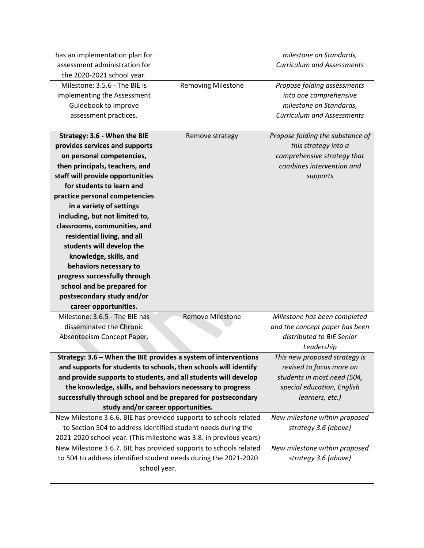| has an implementation plan for                                     |                                                                   | milestone on Standards,           |
|--------------------------------------------------------------------|-------------------------------------------------------------------|-----------------------------------|
| assessment administration for                                      |                                                                   | <b>Curriculum and Assessments</b> |
| the 2020-2021 school year.                                         |                                                                   |                                   |
| Milestone: 3.5.6 - The BIE is                                      | <b>Removing Milestone</b>                                         | Propose folding assessments       |
| implementing the Assessment                                        |                                                                   | into one comprehensive            |
|                                                                    |                                                                   |                                   |
| Guidebook to improve                                               |                                                                   | milestone on Standards,           |
| assessment practices.                                              |                                                                   | <b>Curriculum and Assessments</b> |
|                                                                    |                                                                   |                                   |
| Strategy: 3.6 - When the BIE                                       | Remove strategy                                                   | Propose folding the substance of  |
| provides services and supports                                     |                                                                   | this strategy into a              |
| on personal competencies,                                          |                                                                   | comprehensive strategy that       |
| then principals, teachers, and                                     |                                                                   | combines intervention and         |
| staff will provide opportunities                                   |                                                                   | supports                          |
| for students to learn and                                          |                                                                   |                                   |
| practice personal competencies                                     |                                                                   |                                   |
| in a variety of settings                                           |                                                                   |                                   |
| including, but not limited to,                                     |                                                                   |                                   |
| classrooms, communities, and                                       |                                                                   |                                   |
| residential living, and all                                        |                                                                   |                                   |
| students will develop the                                          |                                                                   |                                   |
| knowledge, skills, and                                             |                                                                   |                                   |
| behaviors necessary to                                             |                                                                   |                                   |
| progress successfully through                                      |                                                                   |                                   |
| school and be prepared for                                         |                                                                   |                                   |
| postsecondary study and/or                                         |                                                                   |                                   |
| career opportunities.                                              |                                                                   |                                   |
| Milestone: 3.6.5 - The BIE has                                     | <b>Remove Milestone</b>                                           | Milestone has been completed      |
| disseminated the Chronic                                           |                                                                   | and the concept paper has been    |
| Absenteeism Concept Paper.                                         |                                                                   | distributed to BIE Senior         |
|                                                                    |                                                                   | Leadership                        |
|                                                                    | Strategy: 3.6 - When the BIE provides a system of interventions   | This new proposed strategy is     |
|                                                                    | and supports for students to schools, then schools will identify  | revised to focus more on          |
| and provide supports to students, and all students will develop    |                                                                   | students in most need (504,       |
| the knowledge, skills, and behaviors necessary to progress         |                                                                   | special education, English        |
| successfully through school and be prepared for postsecondary      |                                                                   | learners, etc.)                   |
| study and/or career opportunities.                                 |                                                                   |                                   |
| New Milestone 3.6.6. BIE has provided supports to schools related  |                                                                   | New milestone within proposed     |
| to Section 504 to address identified student needs during the      |                                                                   | strategy 3.6 (above)              |
| 2021-2020 school year. (This milestone was 3.8. in previous years) |                                                                   |                                   |
|                                                                    | New Milestone 3.6.7. BIE has provided supports to schools related |                                   |
|                                                                    | to 504 to address identified student needs during the 2021-2020   | strategy 3.6 (above)              |
|                                                                    | school year.                                                      |                                   |
|                                                                    |                                                                   |                                   |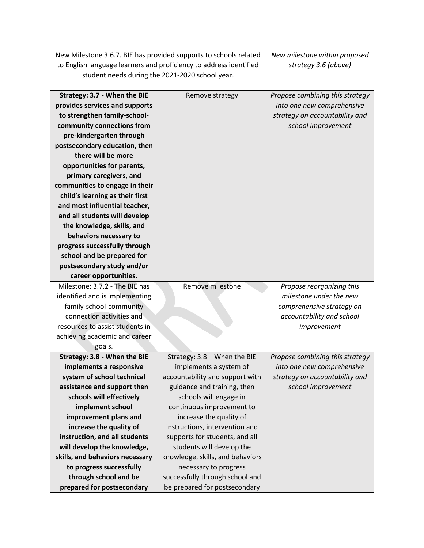| New Milestone 3.6.7. BIE has provided supports to schools related |                                                                    | New milestone within proposed   |
|-------------------------------------------------------------------|--------------------------------------------------------------------|---------------------------------|
|                                                                   | to English language learners and proficiency to address identified |                                 |
| student needs during the 2021-2020 school year.                   |                                                                    |                                 |
|                                                                   |                                                                    |                                 |
| Strategy: 3.7 - When the BIE                                      | Remove strategy                                                    | Propose combining this strategy |
| provides services and supports                                    |                                                                    | into one new comprehensive      |
| to strengthen family-school-                                      |                                                                    | strategy on accountability and  |
| community connections from                                        |                                                                    | school improvement              |
| pre-kindergarten through                                          |                                                                    |                                 |
| postsecondary education, then                                     |                                                                    |                                 |
| there will be more                                                |                                                                    |                                 |
| opportunities for parents,                                        |                                                                    |                                 |
| primary caregivers, and                                           |                                                                    |                                 |
| communities to engage in their                                    |                                                                    |                                 |
| child's learning as their first                                   |                                                                    |                                 |
| and most influential teacher,                                     |                                                                    |                                 |
| and all students will develop                                     |                                                                    |                                 |
| the knowledge, skills, and                                        |                                                                    |                                 |
| behaviors necessary to                                            |                                                                    |                                 |
| progress successfully through                                     |                                                                    |                                 |
| school and be prepared for                                        |                                                                    |                                 |
| postsecondary study and/or                                        |                                                                    |                                 |
| career opportunities.                                             |                                                                    |                                 |
| Milestone: 3.7.2 - The BIE has                                    | Remove milestone                                                   | Propose reorganizing this       |
| identified and is implementing                                    |                                                                    | milestone under the new         |
| family-school-community                                           |                                                                    | comprehensive strategy on       |
| connection activities and                                         |                                                                    | accountability and school       |
| resources to assist students in                                   |                                                                    | improvement                     |
| achieving academic and career                                     |                                                                    |                                 |
| goals.                                                            |                                                                    |                                 |
| Strategy: 3.8 - When the BIE                                      | Strategy: $3.8 -$ When the BIE                                     | Propose combining this strategy |
| implements a responsive                                           | implements a system of                                             | into one new comprehensive      |
| system of school technical                                        | accountability and support with                                    | strategy on accountability and  |
| assistance and support then                                       | guidance and training, then                                        | school improvement              |
| schools will effectively                                          | schools will engage in                                             |                                 |
| implement school                                                  | continuous improvement to                                          |                                 |
| improvement plans and                                             | increase the quality of                                            |                                 |
| increase the quality of                                           | instructions, intervention and                                     |                                 |
| instruction, and all students                                     | supports for students, and all                                     |                                 |
| will develop the knowledge,                                       | students will develop the                                          |                                 |
| skills, and behaviors necessary                                   | knowledge, skills, and behaviors                                   |                                 |
| to progress successfully                                          | necessary to progress                                              |                                 |
| through school and be                                             | successfully through school and                                    |                                 |
| prepared for postsecondary                                        | be prepared for postsecondary                                      |                                 |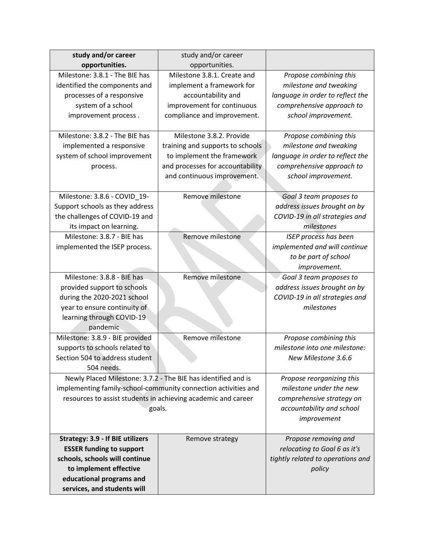| study and/or career                                           | study and/or career                                            |                                   |
|---------------------------------------------------------------|----------------------------------------------------------------|-----------------------------------|
| opportunities.                                                | opportunities.                                                 |                                   |
| Milestone: 3.8.1 - The BIE has                                | Milestone 3.8.1. Create and                                    | Propose combining this            |
| identified the components and                                 | implement a framework for                                      | milestone and tweaking            |
| processes of a responsive                                     | accountability and                                             | language in order to reflect the  |
| system of a school                                            | improvement for continuous                                     | comprehensive approach to         |
| improvement process.                                          | compliance and improvement.                                    | school improvement.               |
|                                                               |                                                                |                                   |
| Milestone: 3.8.2 - The BIE has                                | Milestone 3.8.2. Provide                                       | Propose combining this            |
| implemented a responsive                                      | training and supports to schools                               | milestone and tweaking            |
| system of school improvement                                  | to implement the framework                                     | language in order to reflect the  |
| process.                                                      | and processes for accountability                               | comprehensive approach to         |
|                                                               | and continuous improvement.                                    | school improvement.               |
|                                                               |                                                                |                                   |
| Milestone: 3.8.6 - COVID_19-                                  | Remove milestone                                               | Goal 3 team proposes to           |
| Support schools as they address                               |                                                                | address issues brought on by      |
| the challenges of COVID-19 and                                |                                                                | COVID-19 in all strategies and    |
| its impact on learning.                                       |                                                                | milestones                        |
| Milestone: 3.8.7 - BIE has                                    | Remove milestone                                               | <b>ISEP</b> process has been      |
| implemented the ISEP process.                                 |                                                                | implemented and will continue     |
|                                                               |                                                                | to be part of school              |
|                                                               |                                                                | improvement.                      |
| Milestone: 3.8.8 - BIE has                                    | Remove milestone                                               | Goal 3 team proposes to           |
| provided support to schools                                   |                                                                | address issues brought on by      |
| during the 2020-2021 school                                   |                                                                | COVID-19 in all strategies and    |
| year to ensure continuity of                                  |                                                                | milestones                        |
| learning through COVID-19                                     |                                                                |                                   |
| pandemic                                                      |                                                                |                                   |
| Milestone: 3.8.9 - BIE provided                               | Remove milestone                                               | Propose combining this            |
| supports to schools related to                                |                                                                | milestone into one milestone:     |
| Section 504 to address student                                |                                                                | New Milestone 3.6.6               |
| 504 needs.                                                    |                                                                |                                   |
| Newly Placed Milestone: 3.7.2 - The BIE has identified and is |                                                                | Propose reorganizing this         |
|                                                               | implementing family-school-community connection activities and | milestone under the new           |
| resources to assist students in achieving academic and career |                                                                | comprehensive strategy on         |
| goals.                                                        |                                                                | accountability and school         |
|                                                               |                                                                | improvement                       |
| Strategy: 3.9 - If BIE utilizers                              | Remove strategy                                                | Propose removing and              |
| <b>ESSER funding to support</b>                               |                                                                | relocating to Goal 6 as it's      |
| schools, schools will continue                                |                                                                | tightly related to operations and |
| to implement effective                                        |                                                                | policy                            |
| educational programs and                                      |                                                                |                                   |
| services, and students will                                   |                                                                |                                   |